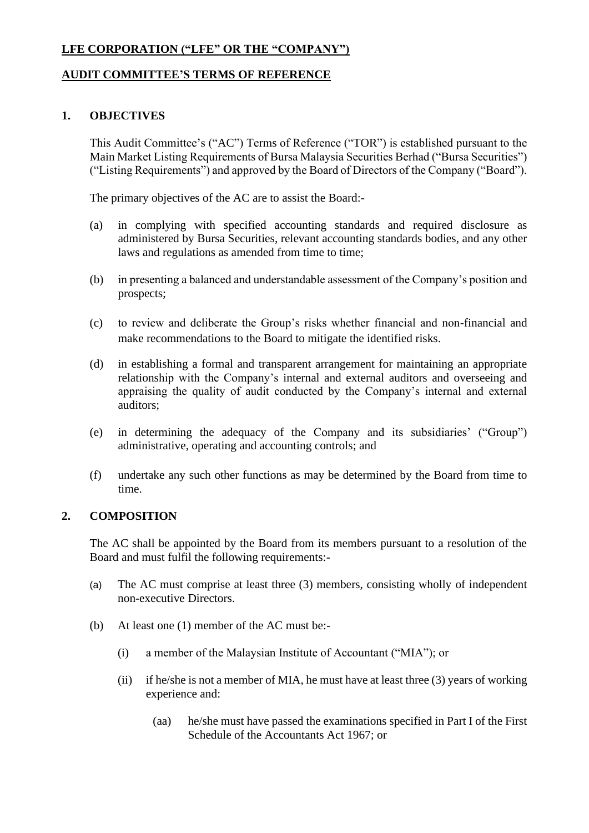## **LFE CORPORATION ("LFE" OR THE "COMPANY")**

## **AUDIT COMMITTEE'S TERMS OF REFERENCE**

#### **1. OBJECTIVES**

This Audit Committee's ("AC") Terms of Reference ("TOR") is established pursuant to the Main Market Listing Requirements of Bursa Malaysia Securities Berhad ("Bursa Securities") ("Listing Requirements") and approved by the Board of Directors of the Company ("Board").

The primary objectives of the AC are to assist the Board:-

- (a) in complying with specified accounting standards and required disclosure as administered by Bursa Securities, relevant accounting standards bodies, and any other laws and regulations as amended from time to time;
- (b) in presenting a balanced and understandable assessment of the Company's position and prospects;
- (c) to review and deliberate the Group's risks whether financial and non-financial and make recommendations to the Board to mitigate the identified risks.
- (d) in establishing a formal and transparent arrangement for maintaining an appropriate relationship with the Company's internal and external auditors and overseeing and appraising the quality of audit conducted by the Company's internal and external auditors;
- (e) in determining the adequacy of the Company and its subsidiaries' ("Group") administrative, operating and accounting controls; and
- (f) undertake any such other functions as may be determined by the Board from time to time.

#### **2. COMPOSITION**

The AC shall be appointed by the Board from its members pursuant to a resolution of the Board and must fulfil the following requirements:-

- (a) The AC must comprise at least three (3) members, consisting wholly of independent non-executive Directors.
- (b) At least one (1) member of the AC must be:-
	- (i) a member of the Malaysian Institute of Accountant ("MIA"); or
	- (ii) if he/she is not a member of MIA, he must have at least three (3) years of working experience and:
		- (aa) he/she must have passed the examinations specified in Part I of the First Schedule of the Accountants Act 1967; or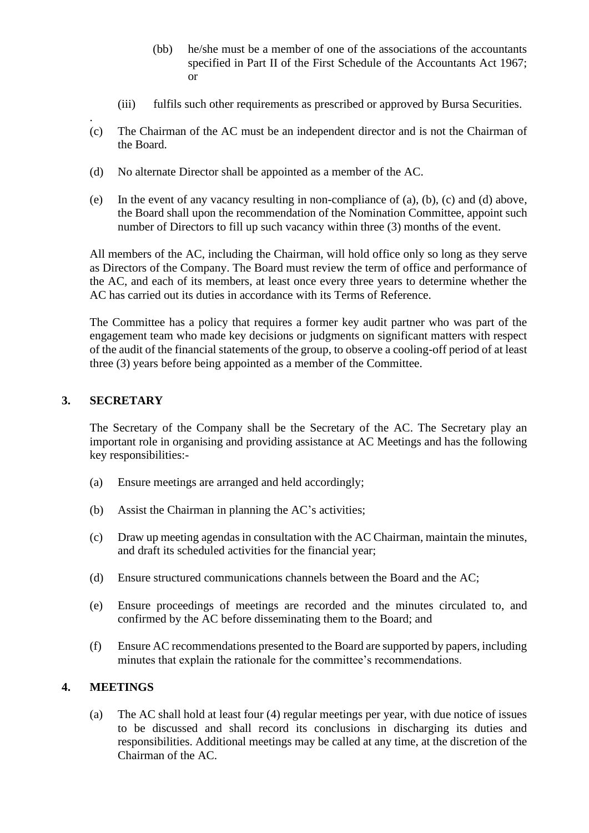- (bb) he/she must be a member of one of the associations of the accountants specified in Part II of the First Schedule of the Accountants Act 1967; or
- (iii) fulfils such other requirements as prescribed or approved by Bursa Securities.
- (c) The Chairman of the AC must be an independent director and is not the Chairman of the Board.
- (d) No alternate Director shall be appointed as a member of the AC.
- (e) In the event of any vacancy resulting in non-compliance of (a), (b), (c) and (d) above, the Board shall upon the recommendation of the Nomination Committee, appoint such number of Directors to fill up such vacancy within three (3) months of the event.

All members of the AC, including the Chairman, will hold office only so long as they serve as Directors of the Company. The Board must review the term of office and performance of the AC, and each of its members, at least once every three years to determine whether the AC has carried out its duties in accordance with its Terms of Reference.

The Committee has a policy that requires a former key audit partner who was part of the engagement team who made key decisions or judgments on significant matters with respect of the audit of the financial statements of the group, to observe a cooling-off period of at least three (3) years before being appointed as a member of the Committee.

# **3. SECRETARY**

.

The Secretary of the Company shall be the Secretary of the AC. The Secretary play an important role in organising and providing assistance at AC Meetings and has the following key responsibilities:-

- (a) Ensure meetings are arranged and held accordingly;
- (b) Assist the Chairman in planning the AC's activities;
- (c) Draw up meeting agendas in consultation with the AC Chairman, maintain the minutes, and draft its scheduled activities for the financial year;
- (d) Ensure structured communications channels between the Board and the AC;
- (e) Ensure proceedings of meetings are recorded and the minutes circulated to, and confirmed by the AC before disseminating them to the Board; and
- (f) Ensure AC recommendations presented to the Board are supported by papers, including minutes that explain the rationale for the committee's recommendations.

## **4. MEETINGS**

(a) The AC shall hold at least four (4) regular meetings per year, with due notice of issues to be discussed and shall record its conclusions in discharging its duties and responsibilities. Additional meetings may be called at any time, at the discretion of the Chairman of the AC.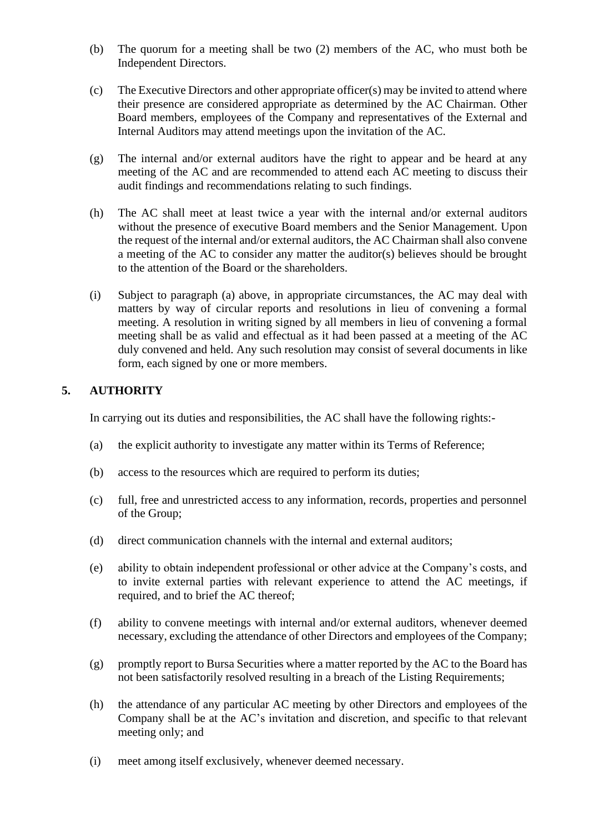- (b) The quorum for a meeting shall be two (2) members of the AC, who must both be Independent Directors.
- (c) The Executive Directors and other appropriate officer(s) may be invited to attend where their presence are considered appropriate as determined by the AC Chairman. Other Board members, employees of the Company and representatives of the External and Internal Auditors may attend meetings upon the invitation of the AC.
- (g) The internal and/or external auditors have the right to appear and be heard at any meeting of the AC and are recommended to attend each AC meeting to discuss their audit findings and recommendations relating to such findings.
- (h) The AC shall meet at least twice a year with the internal and/or external auditors without the presence of executive Board members and the Senior Management. Upon the request of the internal and/or external auditors, the AC Chairman shall also convene a meeting of the AC to consider any matter the auditor(s) believes should be brought to the attention of the Board or the shareholders.
- (i) Subject to paragraph (a) above, in appropriate circumstances, the AC may deal with matters by way of circular reports and resolutions in lieu of convening a formal meeting. A resolution in writing signed by all members in lieu of convening a formal meeting shall be as valid and effectual as it had been passed at a meeting of the AC duly convened and held. Any such resolution may consist of several documents in like form, each signed by one or more members.

# **5. AUTHORITY**

In carrying out its duties and responsibilities, the AC shall have the following rights:-

- (a) the explicit authority to investigate any matter within its Terms of Reference;
- (b) access to the resources which are required to perform its duties;
- (c) full, free and unrestricted access to any information, records, properties and personnel of the Group;
- (d) direct communication channels with the internal and external auditors;
- (e) ability to obtain independent professional or other advice at the Company's costs, and to invite external parties with relevant experience to attend the AC meetings, if required, and to brief the AC thereof;
- (f) ability to convene meetings with internal and/or external auditors, whenever deemed necessary, excluding the attendance of other Directors and employees of the Company;
- (g) promptly report to Bursa Securities where a matter reported by the AC to the Board has not been satisfactorily resolved resulting in a breach of the Listing Requirements;
- (h) the attendance of any particular AC meeting by other Directors and employees of the Company shall be at the AC's invitation and discretion, and specific to that relevant meeting only; and
- (i) meet among itself exclusively, whenever deemed necessary.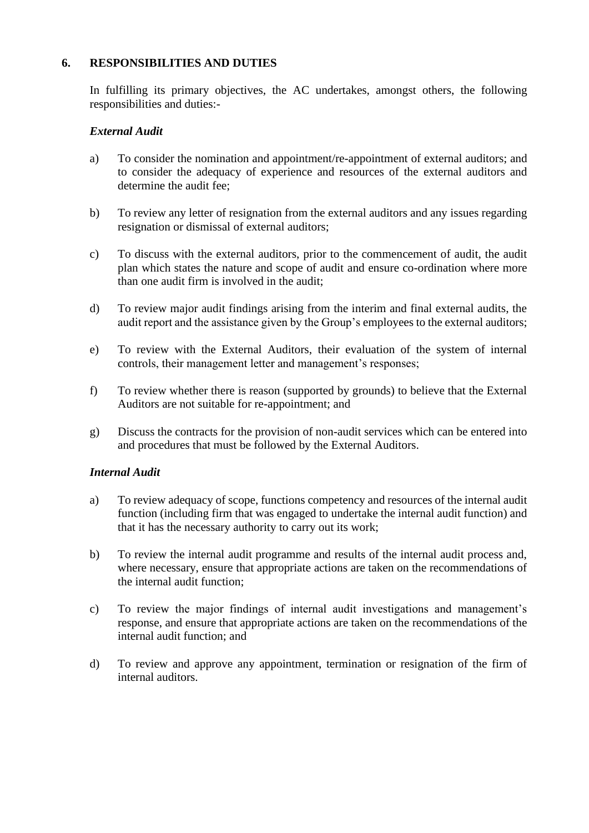## **6. RESPONSIBILITIES AND DUTIES**

In fulfilling its primary objectives, the AC undertakes, amongst others, the following responsibilities and duties:-

#### *External Audit*

- a) To consider the nomination and appointment/re-appointment of external auditors; and to consider the adequacy of experience and resources of the external auditors and determine the audit fee;
- b) To review any letter of resignation from the external auditors and any issues regarding resignation or dismissal of external auditors;
- c) To discuss with the external auditors, prior to the commencement of audit, the audit plan which states the nature and scope of audit and ensure co-ordination where more than one audit firm is involved in the audit;
- d) To review major audit findings arising from the interim and final external audits, the audit report and the assistance given by the Group's employees to the external auditors;
- e) To review with the External Auditors, their evaluation of the system of internal controls, their management letter and management's responses;
- f) To review whether there is reason (supported by grounds) to believe that the External Auditors are not suitable for re-appointment; and
- g) Discuss the contracts for the provision of non-audit services which can be entered into and procedures that must be followed by the External Auditors.

#### *Internal Audit*

- a) To review adequacy of scope, functions competency and resources of the internal audit function (including firm that was engaged to undertake the internal audit function) and that it has the necessary authority to carry out its work;
- b) To review the internal audit programme and results of the internal audit process and, where necessary, ensure that appropriate actions are taken on the recommendations of the internal audit function;
- c) To review the major findings of internal audit investigations and management's response, and ensure that appropriate actions are taken on the recommendations of the internal audit function; and
- d) To review and approve any appointment, termination or resignation of the firm of internal auditors.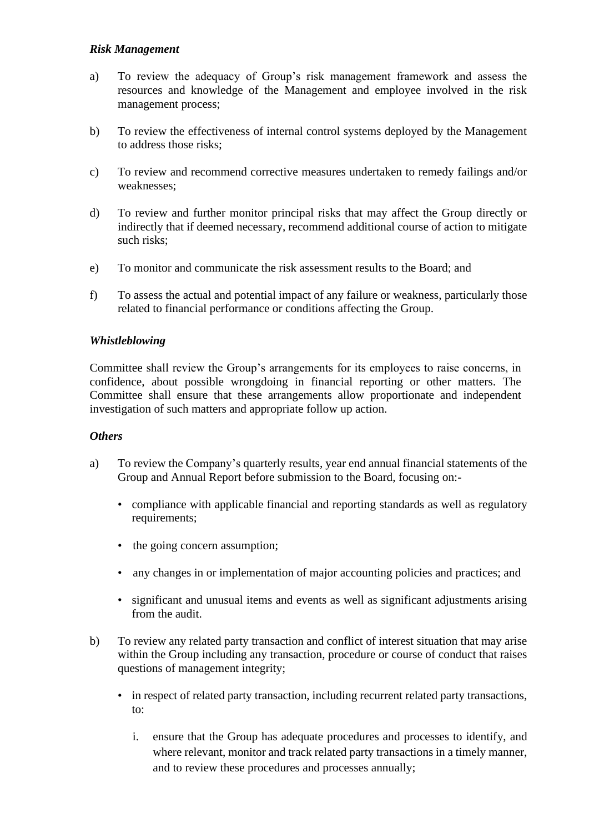## *Risk Management*

- a) To review the adequacy of Group's risk management framework and assess the resources and knowledge of the Management and employee involved in the risk management process;
- b) To review the effectiveness of internal control systems deployed by the Management to address those risks;
- c) To review and recommend corrective measures undertaken to remedy failings and/or weaknesses;
- d) To review and further monitor principal risks that may affect the Group directly or indirectly that if deemed necessary, recommend additional course of action to mitigate such risks;
- e) To monitor and communicate the risk assessment results to the Board; and
- f) To assess the actual and potential impact of any failure or weakness, particularly those related to financial performance or conditions affecting the Group.

### *Whistleblowing*

Committee shall review the Group's arrangements for its employees to raise concerns, in confidence, about possible wrongdoing in financial reporting or other matters. The Committee shall ensure that these arrangements allow proportionate and independent investigation of such matters and appropriate follow up action.

#### *Others*

- a) To review the Company's quarterly results, year end annual financial statements of the Group and Annual Report before submission to the Board, focusing on:-
	- compliance with applicable financial and reporting standards as well as regulatory requirements;
	- the going concern assumption;
	- any changes in or implementation of major accounting policies and practices; and
	- significant and unusual items and events as well as significant adjustments arising from the audit.
- b) To review any related party transaction and conflict of interest situation that may arise within the Group including any transaction, procedure or course of conduct that raises questions of management integrity;
	- in respect of related party transaction, including recurrent related party transactions, to:
		- i. ensure that the Group has adequate procedures and processes to identify, and where relevant, monitor and track related party transactions in a timely manner, and to review these procedures and processes annually;